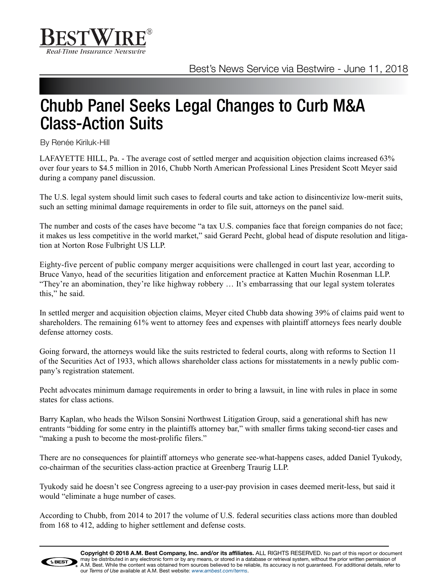

## Chubb Panel Seeks Legal Changes to Curb M&A Class-Action Suits

By Renée Kiriluk-Hill

LAFAYETTE HILL, Pa. - The average cost of settled merger and acquisition objection claims increased 63% over four years to \$4.5 million in 2016, Chubb North American Professional Lines President Scott Meyer said during a company panel discussion.

The U.S. legal system should limit such cases to federal courts and take action to disincentivize low-merit suits, such an setting minimal damage requirements in order to file suit, attorneys on the panel said.

The number and costs of the cases have become "a tax U.S. companies face that foreign companies do not face; it makes us less competitive in the world market," said Gerard Pecht, global head of dispute resolution and litigation at Norton Rose Fulbright US LLP.

Eighty-five percent of public company merger acquisitions were challenged in court last year, according to Bruce Vanyo, head of the securities litigation and enforcement practice at Katten Muchin Rosenman LLP. "They're an abomination, they're like highway robbery … It's embarrassing that our legal system tolerates this," he said.

In settled merger and acquisition objection claims, Meyer cited Chubb data showing 39% of claims paid went to shareholders. The remaining 61% went to attorney fees and expenses with plaintiff attorneys fees nearly double defense attorney costs.

Going forward, the attorneys would like the suits restricted to federal courts, along with reforms to Section 11 of the Securities Act of 1933, which allows shareholder class actions for misstatements in a newly public company's registration statement.

Pecht advocates minimum damage requirements in order to bring a lawsuit, in line with rules in place in some states for class actions.

Barry Kaplan, who heads the Wilson Sonsini Northwest Litigation Group, said a generational shift has new entrants "bidding for some entry in the plaintiffs attorney bar," with smaller firms taking second-tier cases and "making a push to become the most-prolific filers."

There are no consequences for plaintiff attorneys who generate see-what-happens cases, added Daniel Tyukody, co-chairman of the securities class-action practice at Greenberg Traurig LLP.

Tyukody said he doesn't see Congress agreeing to a user-pay provision in cases deemed merit-less, but said it would "eliminate a huge number of cases.

According to Chubb, from 2014 to 2017 the volume of U.S. federal securities class actions more than doubled from 168 to 412, adding to higher settlement and defense costs.